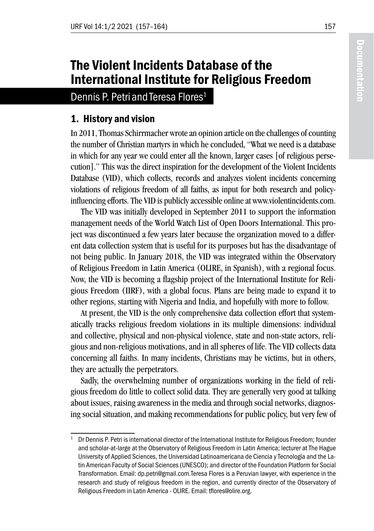# The Violent Incidents Database of the International Institute for Religious Freedom

Dennis P. Petri and Teresa Flores<sup>1</sup>

## 1. History and vision

In 2011, Thomas Schirrmacher wrote an opinion article on the challenges of counting the number of Christian martyrs in which he concluded, "What we need is a database in which for any year we could enter all the known, larger cases [of religious persecution]." This was the direct inspiration for the development of the Violent Incidents Database (VID), which collects, records and analyzes violent incidents concerning violations of religious freedom of all faiths, as input for both research and policyinfluencing efforts. The VID is publicly accessible online at www.violentincidents.com.

The VID was initially developed in September 2011 to support the information management needs of the World Watch List of Open Doors International. This project was discontinued a few years later because the organization moved to a different data collection system that is useful for its purposes but has the disadvantage of not being public. In January 2018, the VID was integrated within the Observatory of Religious Freedom in Latin America (OLIRE, in Spanish), with a regional focus. Now, the VID is becoming a flagship project of the International Institute for Religious Freedom (IIRF), with a global focus. Plans are being made to expand it to other regions, starting with Nigeria and India, and hopefully with more to follow.

At present, the VID is the only comprehensive data collection effort that systematically tracks religious freedom violations in its multiple dimensions: individual and collective, physical and non-physical violence, state and non-state actors, religious and non-religious motivations, and in all spheres of life. The VID collects data concerning all faiths. In many incidents, Christians may be victims, but in others, they are actually the perpetrators.

Sadly, the overwhelming number of organizations working in the field of religious freedom do little to collect solid data. They are generally very good at talking about issues, raising awareness in the media and through social networks, diagnosing social situation, and making recommendations for public policy, but very few of

<sup>1</sup> Dr Dennis P. Petri is international director of the International Institute for Religious Freedom; founder and scholar-at-large at the Observatory of Religious Freedom in Latin America; lecturer at The Hague University of Applied Sciences, the Universidad Latinoamericana de Ciencia y Tecnología and the Latin American Faculty of Social Sciences (UNESCO); and director of the Foundation Platform for Social Transformation. Email: dp.petri@gmail.com.Teresa Flores is a Peruvian lawyer, with experience in the research and study of religious freedom in the region, and currently director of the Observatory of Religious Freedom in Latin America - OLIRE. Email: tflores@olire.org.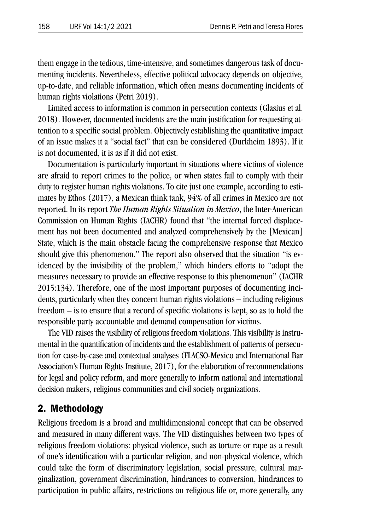them engage in the tedious, time-intensive, and sometimes dangerous task of documenting incidents. Nevertheless, effective political advocacy depends on objective, up-to-date, and reliable information, which often means documenting incidents of human rights violations (Petri 2019).

Limited access to information is common in persecution contexts (Glasius et al. 2018). However, documented incidents are the main justification for requesting attention to a specific social problem. Objectively establishing the quantitative impact of an issue makes it a "social fact" that can be considered (Durkheim 1893). If it is not documented, it is as if it did not exist.

Documentation is particularly important in situations where victims of violence are afraid to report crimes to the police, or when states fail to comply with their duty to register human rights violations. To cite just one example, according to estimates by Ethos (2017), a Mexican think tank, 94% of all crimes in Mexico are not reported. In its report *The Human Rights Situation in Mexico*, the Inter-American Commission on Human Rights (IACHR) found that "the internal forced displacement has not been documented and analyzed comprehensively by the [Mexican] State, which is the main obstacle facing the comprehensive response that Mexico should give this phenomenon." The report also observed that the situation "is evidenced by the invisibility of the problem," which hinders efforts to "adopt the measures necessary to provide an effective response to this phenomenon" (IACHR 2015:134). Therefore, one of the most important purposes of documenting incidents, particularly when they concern human rights violations – including religious freedom – is to ensure that a record of specific violations is kept, so as to hold the responsible party accountable and demand compensation for victims.

The VID raises the visibility of religious freedom violations. This visibility is instrumental in the quantification of incidents and the establishment of patterns of persecution for case-by-case and contextual analyses (FLACSO-Mexico and International Bar Association's Human Rights Institute, 2017), for the elaboration of recommendations for legal and policy reform, and more generally to inform national and international decision makers, religious communities and civil society organizations.

#### 2. Methodology

Religious freedom is a broad and multidimensional concept that can be observed and measured in many different ways. The VID distinguishes between two types of religious freedom violations: physical violence, such as torture or rape as a result of one's identification with a particular religion, and non-physical violence, which could take the form of discriminatory legislation, social pressure, cultural marginalization, government discrimination, hindrances to conversion, hindrances to participation in public affairs, restrictions on religious life or, more generally, any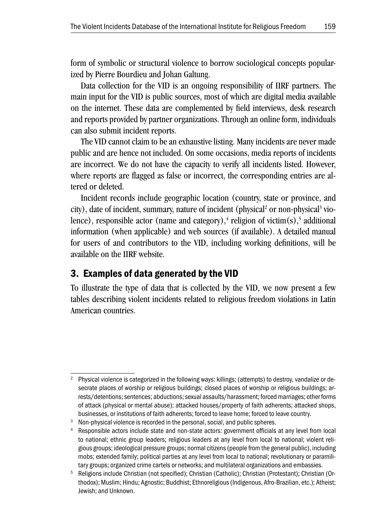form of symbolic or structural violence to borrow sociological concepts popularized by Pierre Bourdieu and Johan Galtung.

Data collection for the VID is an ongoing responsibility of IIRF partners. The main input for the VID is public sources, most of which are digital media available on the internet. These data are complemented by field interviews, desk research and reports provided by partner organizations. Through an online form, individuals can also submit incident reports.

The VID cannot claim to be an exhaustive listing. Many incidents are never made public and are hence not included. On some occasions, media reports of incidents are incorrect. We do not have the capacity to verify all incidents listed. However, where reports are flagged as false or incorrect, the corresponding entries are altered or deleted.

Incident records include geographic location (country, state or province, and city), date of incident, summary, nature of incident (physical<sup>2</sup> or non-physical<sup>3</sup> violence), responsible actor (name and category),<sup>4</sup> religion of victim(s),<sup>5</sup> additional information (when applicable) and web sources (if available). A detailed manual for users of and contributors to the VID, including working definitions, will be available on the IIRF website.

### 3. Examples of data generated by the VID

To illustrate the type of data that is collected by the VID, we now present a few tables describing violent incidents related to religious freedom violations in Latin American countries.

<sup>2</sup> Physical violence is categorized in the following ways: killings; (attempts) to destroy, vandalize or desecrate places of worship or religious buildings; closed places of worship or religious buildings; arrests/detentions; sentences; abductions; sexual assaults/harassment; forced marriages; other forms of attack (physical or mental abuse); attacked houses/property of faith adherents; attacked shops, businesses, or institutions of faith adherents; forced to leave home; forced to leave country.

<sup>&</sup>lt;sup>3</sup> Non-physical violence is recorded in the personal, social, and public spheres.

Responsible actors include state and non-state actors: government officials at any level from local to national; ethnic group leaders; religious leaders at any level from local to national; violent religious groups; ideological pressure groups; normal citizens (people from the general public), including mobs; extended family; political parties at any level from local to national; revolutionary or paramilitary groups; organized crime cartels or networks; and multilateral organizations and embassies.

<sup>5</sup> Religions include Christian (not specified); Christian (Catholic); Christian (Protestant); Christian (Orthodox); Muslim; Hindu; Agnostic; Buddhist; Ethnoreligious (Indigenous, Afro-Brazilian, etc.); Atheist; Jewish; and Unknown.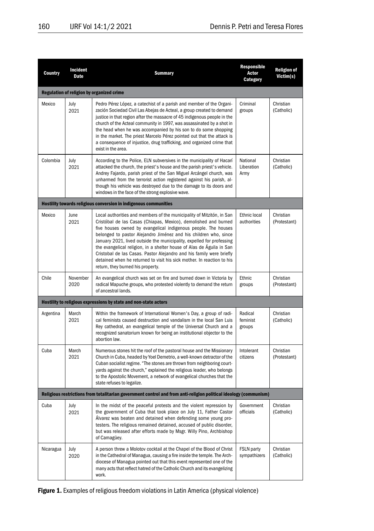| Country                                                                                                           | Incident<br>Date | <b>Summary</b>                                                                                                                                                                                                                                                                                                                                                                                                                                                                                                                                                                                                          | Responsible<br>Actor<br>Category  | <b>Religion of</b><br>Victim(s) |  |  |  |  |  |
|-------------------------------------------------------------------------------------------------------------------|------------------|-------------------------------------------------------------------------------------------------------------------------------------------------------------------------------------------------------------------------------------------------------------------------------------------------------------------------------------------------------------------------------------------------------------------------------------------------------------------------------------------------------------------------------------------------------------------------------------------------------------------------|-----------------------------------|---------------------------------|--|--|--|--|--|
| Regulation of religion by organized crime                                                                         |                  |                                                                                                                                                                                                                                                                                                                                                                                                                                                                                                                                                                                                                         |                                   |                                 |  |  |  |  |  |
| Mexico                                                                                                            | July<br>2021     | Pedro Pérez López, a catechist of a parish and member of the Organi-<br>zación Sociedad Civil Las Abejas de Acteal, a group created to demand<br>justice in that region after the massacre of 45 indigenous people in the<br>church of the Acteal community in 1997, was assassinated by a shot in<br>the head when he was accompanied by his son to do some shopping<br>in the market. The priest Marcelo Pérez pointed out that the attack is<br>a consequence of injustice, drug trafficking, and organized crime that<br>exist in the area.                                                                         | Criminal<br>groups                | Christian<br>(Catholic)         |  |  |  |  |  |
| Colombia                                                                                                          | July<br>2021     | According to the Police, ELN subversives in the municipality of Hacarí<br>attacked the church, the priest's house and the parish priest's vehicle.<br>Andrey Fajardo, parish priest of the San Miguel Arcángel church, was<br>unharmed from the terrorist action registered against his parish, al-<br>though his vehicle was destroyed due to the damage to its doors and<br>windows in the face of the strong explosive wave.                                                                                                                                                                                         | National<br>Liberation<br>Army    | Christian<br>(Catholic)         |  |  |  |  |  |
|                                                                                                                   |                  | Hostility towards religious conversion in indigenous communities                                                                                                                                                                                                                                                                                                                                                                                                                                                                                                                                                        |                                   |                                 |  |  |  |  |  |
| Mexico                                                                                                            | June<br>2021     | Local authorities and members of the municipality of Mitzitón, in San<br>Cristóbal de las Casas (Chiapas, Mexico), demolished and burned<br>five houses owned by evangelical indigenous people. The houses<br>belonged to pastor Alejandro Jiménez and his children who, since<br>January 2021, lived outside the municipality, expelled for professing<br>the evangelical religion, in a shelter house of Alas de Águila in San<br>Cristobal de las Casas. Pastor Alejandro and his family were briefly<br>detained when he returned to visit his sick mother. In reaction to his<br>return, they burned his property. | Ethnic local<br>authorities       | Christian<br>(Protestant)       |  |  |  |  |  |
| Chile                                                                                                             | November<br>2020 | An evangelical church was set on fire and burned down in Victoria by<br>radical Mapuche groups, who protested violently to demand the return<br>of ancestral lands.                                                                                                                                                                                                                                                                                                                                                                                                                                                     | Ethnic<br>groups                  | Christian<br>(Protestant)       |  |  |  |  |  |
|                                                                                                                   |                  | Hostility to religious expressions by state and non-state actors                                                                                                                                                                                                                                                                                                                                                                                                                                                                                                                                                        |                                   |                                 |  |  |  |  |  |
| Argentina                                                                                                         | March<br>2021    | Within the framework of International Women's Day, a group of radi-<br>cal feminists caused destruction and vandalism in the local San Luis<br>Rey cathedral, an evangelical temple of the Universal Church and a<br>recognized sanatorium known for being an institutional objector to the<br>abortion law.                                                                                                                                                                                                                                                                                                            | Radical<br>feminist<br>groups     | Christian<br>(Catholic)         |  |  |  |  |  |
| Cuba                                                                                                              | March<br>2021    | Numerous stones hit the roof of the pastoral house and the Missionary<br>Church in Cuba, headed by Yoel Demetrio, a well-known detractor of the<br>Cuban socialist regime. "The stones are thrown from neighboring court-<br>yards against the church," explained the religious leader, who belongs<br>to the Apostolic Movement, a network of evangelical churches that the<br>state refuses to legalize.                                                                                                                                                                                                              | Intolerant<br>citizens            | Christian<br>(Protestant)       |  |  |  |  |  |
| Religious restrictions from totalitarian government control and from anti-religion political ideology (communism) |                  |                                                                                                                                                                                                                                                                                                                                                                                                                                                                                                                                                                                                                         |                                   |                                 |  |  |  |  |  |
| Cuba                                                                                                              | July<br>2021     | In the midst of the peaceful protests and the violent repression by<br>the government of Cuba that took place on July 11, Father Castor<br>Ålvarez was beaten and detained when defending some young pro-<br>testers. The religious remained detained, accused of public disorder,<br>but was released after efforts made by Msgr. Willy Pino, Archbishop<br>of Camagüey.                                                                                                                                                                                                                                               | Government<br>officials           | Christian<br>(Catholic)         |  |  |  |  |  |
| Nicaragua                                                                                                         | July<br>2020     | A person threw a Molotov cocktail at the Chapel of the Blood of Christ<br>in the Cathedral of Managua, causing a fire inside the temple. The Arch-<br>diocese of Managua pointed out that this event represented one of the<br>many acts that reflect hatred of the Catholic Church and its evangelizing<br>work.                                                                                                                                                                                                                                                                                                       | <b>FSLN party</b><br>sympathizers | Christian<br>(Catholic)         |  |  |  |  |  |

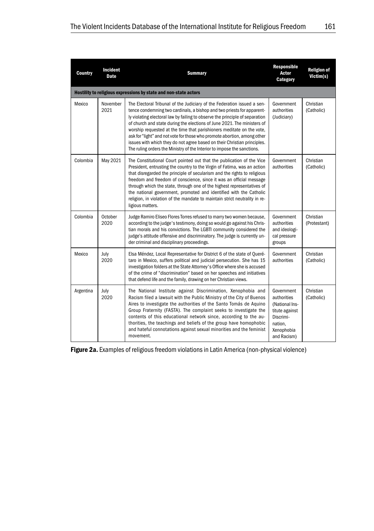| <b>Country</b>                                                   | Incident<br>Date | <b>Summary</b>                                                                                                                                                                                                                                                                                                                                                                                                                                                                                                                                                                                                           | Responsible<br>Actor<br>Category                                                                                   | <b>Religion of</b><br>Victim(s) |  |  |  |  |  |  |
|------------------------------------------------------------------|------------------|--------------------------------------------------------------------------------------------------------------------------------------------------------------------------------------------------------------------------------------------------------------------------------------------------------------------------------------------------------------------------------------------------------------------------------------------------------------------------------------------------------------------------------------------------------------------------------------------------------------------------|--------------------------------------------------------------------------------------------------------------------|---------------------------------|--|--|--|--|--|--|
| Hostility to religious expressions by state and non-state actors |                  |                                                                                                                                                                                                                                                                                                                                                                                                                                                                                                                                                                                                                          |                                                                                                                    |                                 |  |  |  |  |  |  |
| Mexico                                                           | November<br>2021 | The Electoral Tribunal of the Judiciary of the Federation issued a sen-<br>tence condemning two cardinals, a bishop and two priests for apparent-<br>ly violating electoral law by failing to observe the principle of separation<br>of church and state during the elections of June 2021. The ministers of<br>worship requested at the time that parishioners meditate on the vote,<br>ask for "light" and not vote for those who promote abortion, among other<br>issues with which they do not agree based on their Christian principles.<br>The ruling orders the Ministry of the Interior to impose the sanctions. | Government<br>authorities<br>(Judiciary)                                                                           | Christian<br>(Catholic)         |  |  |  |  |  |  |
| Colombia                                                         | May 2021         | The Constitutional Court pointed out that the publication of the Vice<br>President, entrusting the country to the Virgin of Fatima, was an action<br>that disregarded the principle of secularism and the rights to religious<br>freedom and freedom of conscience, since it was an official message<br>through which the state, through one of the highest representatives of<br>the national government, promoted and identified with the Catholic<br>religion, in violation of the mandate to maintain strict neutrality in re-<br>ligious matters.                                                                   | Government<br>authorities                                                                                          | Christian<br>(Catholic)         |  |  |  |  |  |  |
| Colombia                                                         | October<br>2020  | Judge Ramiro Eliseo Flores Torres refused to marry two women because,<br>according to the judge's testimony, doing so would go against his Chris-<br>tian morals and his convictions. The LGBTI community considered the<br>judge's attitude offensive and discriminatory. The judge is currently un-<br>der criminal and disciplinary proceedings.                                                                                                                                                                                                                                                                      | Government<br>authorities<br>and ideologi-<br>cal pressure<br>groups                                               | Christian<br>(Protestant)       |  |  |  |  |  |  |
| Mexico                                                           | July<br>2020     | Elsa Méndez, Local Representative for District 6 of the state of Queré-<br>taro in Mexico, suffers political and judicial persecution. She has 15<br>investigation folders at the State Attorney's Office where she is accused<br>of the crime of "discrimination" based on her speeches and initiatives<br>that defend life and the family, drawing on her Christian views.                                                                                                                                                                                                                                             | Government<br>authorities                                                                                          | Christian<br>(Catholic)         |  |  |  |  |  |  |
| Argentina                                                        | July<br>2020     | The National Institute against Discrimination, Xenophobia and<br>Racism filed a lawsuit with the Public Ministry of the City of Buenos<br>Aires to investigate the authorities of the Santo Tomás de Aquino<br>Group Fraternity (FASTA). The complaint seeks to investigate the<br>contents of this educational network since, according to the au-<br>thorities, the teachings and beliefs of the group have homophobic<br>and hateful connotations against sexual minorities and the feminist<br>movement.                                                                                                             | Government<br>authorities<br>(National Ins-<br>titute against<br>Discrimi-<br>nation,<br>Xenophobia<br>and Racism) | Christian<br>(Catholic)         |  |  |  |  |  |  |

Figure 2a. Examples of religious freedom violations in Latin America (non-physical violence)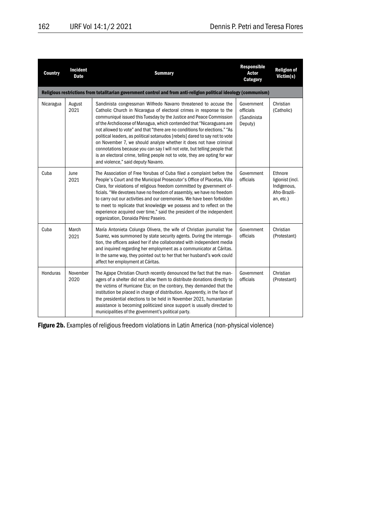| <b>Country</b>                                                                                                    | Incident<br><b>Date</b> | <b>Summary</b>                                                                                                                                                                                                                                                                                                                                                                                                                                                                                                                                                                                                                                                                                                             | Responsible<br>Actor<br>Category                  | <b>Religion of</b><br>Victim(s)                                                 |  |  |  |  |
|-------------------------------------------------------------------------------------------------------------------|-------------------------|----------------------------------------------------------------------------------------------------------------------------------------------------------------------------------------------------------------------------------------------------------------------------------------------------------------------------------------------------------------------------------------------------------------------------------------------------------------------------------------------------------------------------------------------------------------------------------------------------------------------------------------------------------------------------------------------------------------------------|---------------------------------------------------|---------------------------------------------------------------------------------|--|--|--|--|
| Religious restrictions from totalitarian government control and from anti-religion political ideology (communism) |                         |                                                                                                                                                                                                                                                                                                                                                                                                                                                                                                                                                                                                                                                                                                                            |                                                   |                                                                                 |  |  |  |  |
| Nicaragua                                                                                                         | August<br>2021          | Sandinista congressman Wilfredo Navarro threatened to accuse the<br>Catholic Church in Nicaragua of electoral crimes in response to the<br>communiqué issued this Tuesday by the Justice and Peace Commission<br>of the Archdiocese of Managua, which contended that "Nicaraguans are<br>not allowed to vote" and that "there are no conditions for elections." "As<br>political leaders, as political sotanudos [rebels] dared to say not to vote<br>on November 7, we should analyze whether it does not have criminal<br>connotations because you can say I will not vote, but telling people that<br>is an electoral crime, telling people not to vote, they are opting for war<br>and violence," said deputy Navarro. | Government<br>officials<br>(Sandinista<br>Deputy) | Christian<br>(Catholic)                                                         |  |  |  |  |
| Cuba                                                                                                              | June<br>2021            | The Association of Free Yorubas of Cuba filed a complaint before the<br>People's Court and the Municipal Prosecutor's Office of Placetas, Villa<br>Clara, for violations of religious freedom committed by government of-<br>ficials. "We devotees have no freedom of assembly, we have no freedom<br>to carry out our activities and our ceremonies. We have been forbidden<br>to meet to replicate that knowledge we possess and to reflect on the<br>experience acquired over time," said the president of the independent<br>organization, Donaida Pérez Paseiro.                                                                                                                                                      | Government<br>officials                           | <b>Ethnore</b><br>ligionist (incl.<br>Indigenous,<br>Afro-Brazili-<br>an, etc.) |  |  |  |  |
| Cuba                                                                                                              | March<br>2021           | María Antonieta Colunga Olivera, the wife of Christian journalist Yoe<br>Suarez, was summoned by state security agents. During the interroga-<br>tion, the officers asked her if she collaborated with independent media<br>and inquired regarding her employment as a communicator at Cáritas.<br>In the same way, they pointed out to her that her husband's work could<br>affect her employment at Cáritas.                                                                                                                                                                                                                                                                                                             | Government<br>officials                           | Christian<br>(Protestant)                                                       |  |  |  |  |
| Honduras                                                                                                          | November<br>2020        | The Agape Christian Church recently denounced the fact that the man-<br>agers of a shelter did not allow them to distribute donations directly to<br>the victims of Hurricane Eta; on the contrary, they demanded that the<br>institution be placed in charge of distribution. Apparently, in the face of<br>the presidential elections to be held in November 2021, humanitarian<br>assistance is becoming politicized since support is usually directed to<br>municipalities of the government's political party.                                                                                                                                                                                                        | Government<br>officials                           | Christian<br>(Protestant)                                                       |  |  |  |  |

Figure 2b. Examples of religious freedom violations in Latin America (non-physical violence)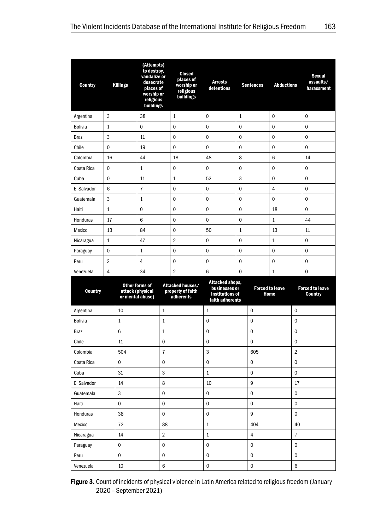| <b>Country</b> | <b>Killings</b> |              | (Attempts)<br>to destroy,<br>vandalize or<br>desecrate<br>places of<br>worship or<br>religious<br>buildings |                | Closed<br>places of<br>worship or<br>religious<br>buildings | <b>Arrests</b><br>detentions                                           | <b>Sentences</b> |             | <b>Abductions</b>      |                | Sexual<br>assaults/<br>harassment        |
|----------------|-----------------|--------------|-------------------------------------------------------------------------------------------------------------|----------------|-------------------------------------------------------------|------------------------------------------------------------------------|------------------|-------------|------------------------|----------------|------------------------------------------|
| Argentina      | 3               |              | 38                                                                                                          |                | $\mathbf{1}$                                                | $\Omega$                                                               | $\mathbf{1}$     |             | $\mathbf 0$            |                | 0                                        |
| <b>Bolivia</b> | $\mathbf{1}$    |              | 0                                                                                                           |                | $\mathbf 0$                                                 | 0                                                                      | $\mathbf 0$      |             | $\mathbf 0$            |                | $\overline{0}$                           |
| <b>Brazil</b>  | 3               |              | 11                                                                                                          |                | 0                                                           | 0                                                                      | 0                |             | 0                      |                | 0                                        |
| Chile          | $\mathbf 0$     |              | 19                                                                                                          |                | $\mathbf 0$                                                 | $\mathbf 0$                                                            | $\mathbf 0$      |             | $\mathbf 0$            |                | $\overline{0}$                           |
| Colombia       | 16              |              | 44                                                                                                          |                | 18                                                          | 48                                                                     | 8                |             | 6                      |                | 14                                       |
| Costa Rica     | $\mathbf 0$     |              | $1\,$                                                                                                       |                | 0                                                           | 0                                                                      | $\mathbf 0$      |             | $\mathbf 0$            |                | 0                                        |
| Cuba           | 0               |              | 11                                                                                                          |                | $\mathbf{1}$                                                | 52                                                                     | 3                | 0           |                        |                | 0                                        |
| El Salvador    | 6               |              | $\overline{7}$                                                                                              |                | $\mathbf 0$                                                 | $\mathbf 0$                                                            | $\mathbf 0$      |             | $\overline{4}$         |                | 0                                        |
| Guatemala      | 3               |              | $\mathbf{1}$                                                                                                |                | $\mathbf 0$                                                 | 0                                                                      | $\mathbf 0$      |             | 0                      |                | $\mathbf 0$                              |
| Haiti          | $\mathbf{1}$    |              | 0                                                                                                           |                | $\mathbf 0$                                                 | 0                                                                      | $\mathbf 0$      |             | 18                     |                | 0                                        |
| Honduras       | 17              |              | 6                                                                                                           |                | 0                                                           | 0                                                                      | 0                |             | $\mathbf{1}$           |                | 44                                       |
| Mexico         | 13              |              | 84                                                                                                          |                | $\mathbf 0$                                                 | 50                                                                     | $\mathbf{1}$     | 13          |                        |                | 11                                       |
| Nicaragua      | $\mathbf{1}$    |              | 47                                                                                                          |                | $\overline{2}$                                              | 0                                                                      | $\mathbf 0$      |             | $\mathbf{1}$           |                | $\mathbf 0$                              |
| Paraguay       | $\mathbf 0$     |              | $\mathbf{1}$                                                                                                |                | $\mathbf 0$                                                 | $\Omega$                                                               | $\Omega$         |             | $\mathbf 0$            |                | 0                                        |
| Peru           | $\overline{2}$  |              | 4                                                                                                           |                | $\mathbf 0$                                                 | 0                                                                      | $\mathbf 0$      |             | 0                      |                | 0                                        |
| Venezuela      | $\overline{4}$  |              | 34                                                                                                          |                | $\overline{2}$                                              | 6                                                                      | $\mathbf 0$      |             | 1                      |                | 0                                        |
| <b>Country</b> |                 |              | Other forms of<br>attack (physical<br>or mental abuse)                                                      |                | Attacked houses/<br>property of faith<br>adherents          | Attacked shops,<br>businesses or<br>institutions of<br>faith adherents |                  | Home        | <b>Forced to leave</b> |                | <b>Forced to leave</b><br><b>Country</b> |
| Argentina      |                 | 10           |                                                                                                             | $\mathbf{1}$   |                                                             | 1                                                                      |                  | $\mathbf 0$ |                        | 0              |                                          |
| <b>Bolivia</b> |                 | $\mathbf{1}$ |                                                                                                             | $\mathbf{1}$   |                                                             | 0                                                                      |                  | 0           |                        | 0              |                                          |
| <b>Brazil</b>  |                 | 6            |                                                                                                             | $\mathbf 1$    |                                                             | $\mathbf 0$                                                            |                  | 0           |                        | 0              |                                          |
| Chile          |                 | 11           |                                                                                                             | 0              |                                                             | 0<br>0                                                                 |                  |             | 0                      |                |                                          |
| Colombia       |                 | 504          |                                                                                                             | $\overline{7}$ |                                                             | 3                                                                      |                  | 605         |                        | $\overline{2}$ |                                          |
| Costa Rica     |                 | 0            |                                                                                                             | $\mathbf 0$    |                                                             | 0                                                                      |                  | 0           |                        | 0              |                                          |
| Cuba           |                 | 31           |                                                                                                             | 3              |                                                             | 1                                                                      |                  | $\mathbf 0$ |                        | $\mathbf 0$    |                                          |
| El Salvador    |                 | 14           |                                                                                                             | 8              |                                                             | 10                                                                     |                  | 9           |                        | 17             |                                          |
| Guatemala      |                 | 3            |                                                                                                             | $\mathbf 0$    |                                                             | $\mathbf 0$                                                            |                  | $\mathbf 0$ |                        | 0              |                                          |
| Haiti          |                 | $\mathbf 0$  |                                                                                                             | $\mathbf 0$    |                                                             | 0                                                                      |                  | 0           |                        | 0              |                                          |
| Honduras<br>38 |                 |              | $\mathbf 0$                                                                                                 |                |                                                             | $\mathbf 0$                                                            |                  | 9           |                        | 0              |                                          |
| Mexico         |                 | 72           |                                                                                                             | 88             |                                                             | $\mathbf{1}$                                                           |                  | 404         |                        | 40             |                                          |
| Nicaragua      |                 | 14           |                                                                                                             | $\overline{2}$ |                                                             | $\mathbf{1}$                                                           |                  | 4           |                        | $\overline{7}$ |                                          |
| Paraguay       |                 | $\mathbf 0$  |                                                                                                             | $\mathbf 0$    |                                                             | 0                                                                      |                  | 0<br>0      |                        |                |                                          |
| Peru           |                 | $\mathbf 0$  |                                                                                                             | $\mathbf 0$    |                                                             | 0<br>0                                                                 |                  |             | 0                      |                |                                          |
| Venezuela      |                 | 10           |                                                                                                             | 6              |                                                             | 0                                                                      |                  | 0           |                        | 6              |                                          |

Figure 3. Count of incidents of physical violence in Latin America related to religious freedom (January 2020 – September 2021)